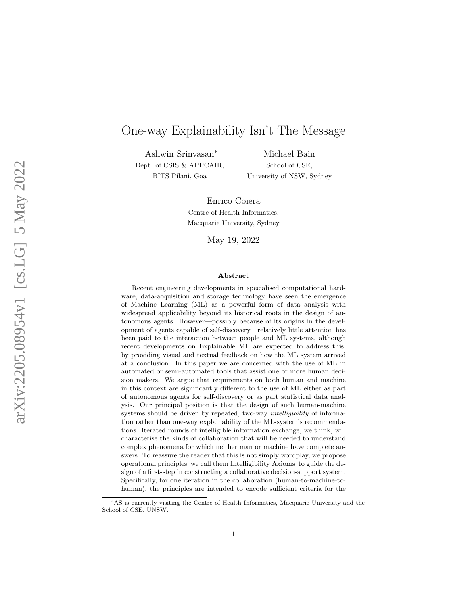# One-way Explainability Isn't The Message

Ashwin Srinvasan ∗ Dept. of CSIS & APPCAIR, BITS Pilani, Goa

Michael Bain School of CSE, University of NSW, Sydney

Enrico Coiera Centre of Health Informatics, Macquarie University, Sydney

May 19, 2022

#### Abstract

Recent engineering developments in specialised computational hardware, data-acquisition and storage technology have seen the emergence of Machine Learning (ML) as a powerful form of data analysis with widespread applicability beyond its historical roots in the design of autonomous agents. However—possibly because of its origins in the development of agents capable of self-discovery—relatively little attention has been paid to the interaction between people and ML systems, although recent developments on Explainable ML are expected to address this, by providing visual and textual feedback on how the ML system arrived at a conclusion. In this paper we are concerned with the use of ML in automated or semi-automated tools that assist one or more human decision makers. We argue that requirements on both human and machine in this context are significantly different to the use of ML either as part of autonomous agents for self-discovery or as part statistical data analysis. Our principal position is that the design of such human-machine systems should be driven by repeated, two-way *intelligibility* of information rather than one-way explainability of the ML-system's recommendations. Iterated rounds of intelligible information exchange, we think, will characterise the kinds of collaboration that will be needed to understand complex phenomena for which neither man or machine have complete answers. To reassure the reader that this is not simply wordplay, we propose operational principles–we call them Intelligibility Axioms–to guide the design of a first-step in constructing a collaborative decision-support system. Specifically, for one iteration in the collaboration (human-to-machine-tohuman), the principles are intended to encode sufficient criteria for the

<sup>∗</sup>AS is currently visiting the Centre of Health Informatics, Macquarie University and the School of CSE, UNSW.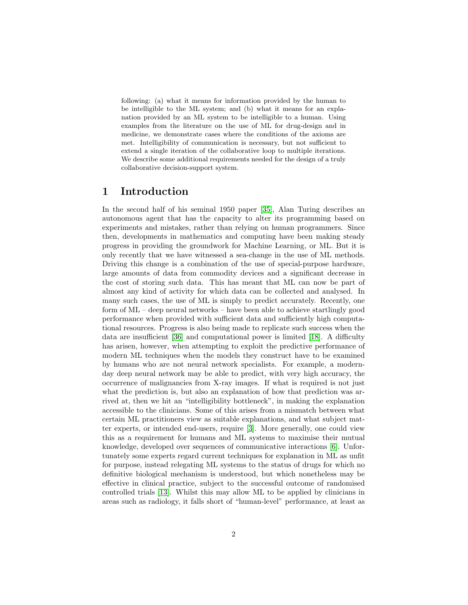following: (a) what it means for information provided by the human to be intelligible to the ML system; and (b) what it means for an explanation provided by an ML system to be intelligible to a human. Using examples from the literature on the use of ML for drug-design and in medicine, we demonstrate cases where the conditions of the axioms are met. Intelligibility of communication is necessary, but not sufficient to extend a single iteration of the collaborative loop to multiple iterations. We describe some additional requirements needed for the design of a truly collaborative decision-support system.

## 1 Introduction

In the second half of his seminal 1950 paper [\[35\]](#page-21-0), Alan Turing describes an autonomous agent that has the capacity to alter its programming based on experiments and mistakes, rather than relying on human programmers. Since then, developments in mathematics and computing have been making steady progress in providing the groundwork for Machine Learning, or ML. But it is only recently that we have witnessed a sea-change in the use of ML methods. Driving this change is a combination of the use of special-purpose hardware, large amounts of data from commodity devices and a significant decrease in the cost of storing such data. This has meant that ML can now be part of almost any kind of activity for which data can be collected and analysed. In many such cases, the use of ML is simply to predict accurately. Recently, one form of ML – deep neural networks – have been able to achieve startlingly good performance when provided with sufficient data and sufficiently high computational resources. Progress is also being made to replicate such success when the data are insufficient [\[36\]](#page-21-1) and computational power is limited [\[18\]](#page-20-0). A difficulty has arisen, however, when attempting to exploit the predictive performance of modern ML techniques when the models they construct have to be examined by humans who are not neural network specialists. For example, a modernday deep neural network may be able to predict, with very high accuracy, the occurrence of malignancies from X-ray images. If what is required is not just what the prediction is, but also an explanation of how that prediction was arrived at, then we hit an "intelligibility bottleneck", in making the explanation accessible to the clinicians. Some of this arises from a mismatch between what certain ML practitioners view as suitable explanations, and what subject matter experts, or intended end-users, require [\[3\]](#page-19-0). More generally, one could view this as a requirement for humans and ML systems to maximise their mutual knowledge, developed over sequences of communicative interactions [\[6\]](#page-19-1). Unfortunately some experts regard current techniques for explanation in ML as unfit for purpose, instead relegating ML systems to the status of drugs for which no definitive biological mechanism is understood, but which nonetheless may be effective in clinical practice, subject to the successful outcome of randomised controlled trials [\[13\]](#page-20-1). Whilst this may allow ML to be applied by clinicians in areas such as radiology, it falls short of "human-level" performance, at least as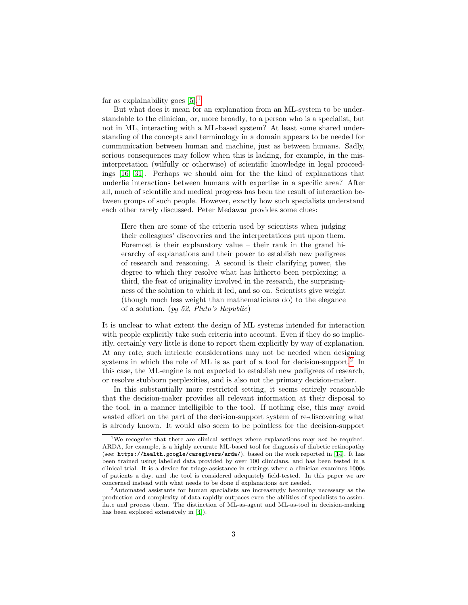far as explainability goes  $[5].<sup>1</sup>$  $[5].<sup>1</sup>$  $[5].<sup>1</sup>$  $[5].<sup>1</sup>$ 

But what does it mean for an explanation from an ML-system to be understandable to the clinician, or, more broadly, to a person who is a specialist, but not in ML, interacting with a ML-based system? At least some shared understanding of the concepts and terminology in a domain appears to be needed for communication between human and machine, just as between humans. Sadly, serious consequences may follow when this is lacking, for example, in the misinterpretation (wilfully or otherwise) of scientific knowledge in legal proceedings [\[16,](#page-20-2) [31\]](#page-21-2). Perhaps we should aim for the the kind of explanations that underlie interactions between humans with expertise in a specific area? After all, much of scientific and medical progress has been the result of interaction between groups of such people. However, exactly how such specialists understand each other rarely discussed. Peter Medawar provides some clues:

Here then are some of the criteria used by scientists when judging their colleagues' discoveries and the interpretations put upon them. Foremost is their explanatory value – their rank in the grand hierarchy of explanations and their power to establish new pedigrees of research and reasoning. A second is their clarifying power, the degree to which they resolve what has hitherto been perplexing; a third, the feat of originality involved in the research, the surprisingness of the solution to which it led, and so on. Scientists give weight (though much less weight than mathematicians do) to the elegance of a solution. (pg 52, Pluto's Republic)

It is unclear to what extent the design of ML systems intended for interaction with people explicitly take such criteria into account. Even if they do so implicitly, certainly very little is done to report them explicitly by way of explanation. At any rate, such intricate considerations may not be needed when designing systems in which the role of ML is as part of a tool for decision-support.<sup>[2](#page-2-1)</sup> In this case, the ML-engine is not expected to establish new pedigrees of research, or resolve stubborn perplexities, and is also not the primary decision-maker.

In this substantially more restricted setting, it seems entirely reasonable that the decision-maker provides all relevant information at their disposal to the tool, in a manner intelligible to the tool. If nothing else, this may avoid wasted effort on the part of the decision-support system of re-discovering what is already known. It would also seem to be pointless for the decision-support

<span id="page-2-0"></span><sup>&</sup>lt;sup>1</sup>We recognise that there are clinical settings where explanations may not be required. ARDA, for example, is a highly accurate ML-based tool for diagnosis of diabetic retinopathy (see: https://health.google/caregivers/arda/). based on the work reported in [\[14\]](#page-20-3). It has been trained using labelled data provided by over 100 clinicians, and has been tested in a clinical trial. It is a device for triage-assistance in settings where a clinician examines 1000s of patients a day, and the tool is considered adequately field-tested. In this paper we are concerned instead with what needs to be done if explanations are needed.

<span id="page-2-1"></span><sup>2</sup>Automated assistants for human specialists are increasingly becoming necessary as the production and complexity of data rapidly outpaces even the abilities of specialists to assimilate and process them. The distinction of ML-as-agent and ML-as-tool in decision-making has been explored extensively in [\[4\]](#page-19-3)).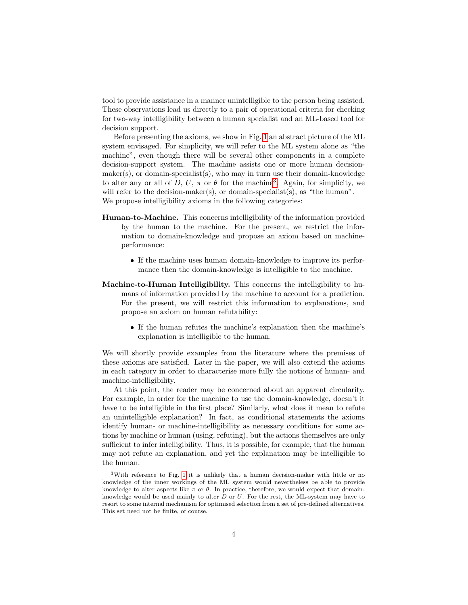tool to provide assistance in a manner unintelligible to the person being assisted. These observations lead us directly to a pair of operational criteria for checking for two-way intelligibility between a human specialist and an ML-based tool for decision support.

Before presenting the axioms, we show in Fig. [1](#page-4-0) an abstract picture of the ML system envisaged. For simplicity, we will refer to the ML system alone as "the machine", even though there will be several other components in a complete decision-support system. The machine assists one or more human decisionmaker(s), or domain-specialist(s), who may in turn use their domain-knowledge to alter any or all of D, U,  $\pi$  or  $\theta$  for the machine<sup>[3](#page-3-0)</sup>. Again, for simplicity, we will refer to the decision-maker(s), or domain-specialist(s), as "the human". We propose intelligibility axioms in the following categories:

- Human-to-Machine. This concerns intelligibility of the information provided by the human to the machine. For the present, we restrict the information to domain-knowledge and propose an axiom based on machineperformance:
	- If the machine uses human domain-knowledge to improve its performance then the domain-knowledge is intelligible to the machine.
- Machine-to-Human Intelligibility. This concerns the intelligibility to humans of information provided by the machine to account for a prediction. For the present, we will restrict this information to explanations, and propose an axiom on human refutability:
	- If the human refutes the machine's explanation then the machine's explanation is intelligible to the human.

We will shortly provide examples from the literature where the premises of these axioms are satisfied. Later in the paper, we will also extend the axioms in each category in order to characterise more fully the notions of human- and machine-intelligibility.

At this point, the reader may be concerned about an apparent circularity. For example, in order for the machine to use the domain-knowledge, doesn't it have to be intelligible in the first place? Similarly, what does it mean to refute an unintelligible explanation? In fact, as conditional statements the axioms identify human- or machine-intelligibility as necessary conditions for some actions by machine or human (using, refuting), but the actions themselves are only sufficient to infer intelligibility. Thus, it is possible, for example, that the human may not refute an explanation, and yet the explanation may be intelligible to the human.

<span id="page-3-0"></span><sup>3</sup>With reference to Fig. [1](#page-4-0) it is unlikely that a human decision-maker with little or no knowledge of the inner workings of the ML system would nevertheless be able to provide knowledge to alter aspects like  $\pi$  or  $\theta$ . In practice, therefore, we would expect that domainknowledge would be used mainly to alter  $D$  or  $U$ . For the rest, the ML-system may have to resort to some internal mechanism for optimised selection from a set of pre-defined alternatives. This set need not be finite, of course.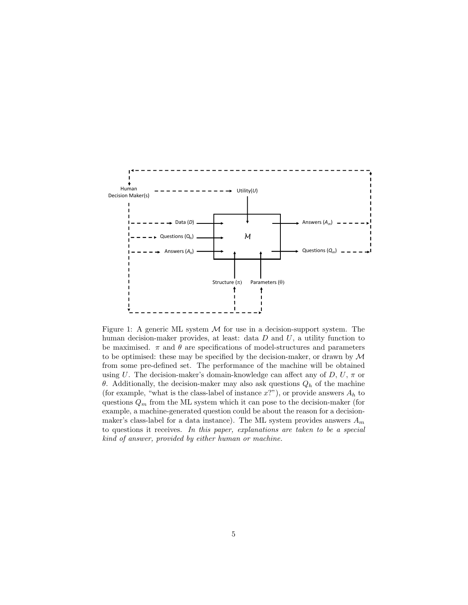<span id="page-4-0"></span>

Figure 1: A generic ML system  $M$  for use in a decision-support system. The human decision-maker provides, at least: data  $D$  and  $U$ , a utility function to be maximised.  $\pi$  and  $\theta$  are specifications of model-structures and parameters to be optimised: these may be specified by the decision-maker, or drawn by  $\mathcal M$ from some pre-defined set. The performance of the machine will be obtained using U. The decision-maker's domain-knowledge can affect any of  $D, U, \pi$  or θ. Additionally, the decision-maker may also ask questions  $Q<sub>h</sub>$  of the machine (for example, "what is the class-label of instance  $x$ ?"), or provide answers  $A_h$  to questions  $Q_m$  from the ML system which it can pose to the decision-maker (for example, a machine-generated question could be about the reason for a decisionmaker's class-label for a data instance). The ML system provides answers  $A_m$ to questions it receives. In this paper, explanations are taken to be a special kind of answer, provided by either human or machine.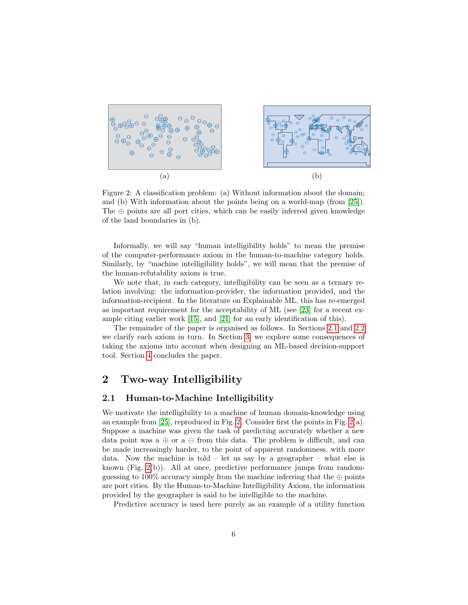<span id="page-5-1"></span>

Figure 2: A classification problem: (a) Without information about the domain; and (b) With information about the points being on a world-map (from [\[25\]](#page-20-4)). The  $\oplus$  points are all port cities, which can be easily inferred given knowledge of the land boundaries in (b).

Informally, we will say "human intelligibility holds" to mean the premise of the computer-performance axiom in the human-to-machine category holds. Similarly, by "machine intelligibility holds", we will mean that the premise of the human-refutability axiom is true.

We note that, in each category, intelligibility can be seen as a ternary relation involving: the information-provider, the information provided, and the information-recipient. In the literature on Explainable ML, this has re-emerged as important requirement for the acceptability of ML (see [\[23\]](#page-20-5) for a recent example citing earlier work [\[15\]](#page-20-6), and [\[21\]](#page-20-7) for an early identification of this).

The remainder of the paper is organised as follows. In Sections [2.1](#page-5-0) and [2.2](#page-8-0) we clarify each axiom in turn. In Section [3,](#page-12-0) we explore some consequences of taking the axioms into account when designing an ML-based decision-support tool. Section [4](#page-17-0) concludes the paper.

## 2 Two-way Intelligibility

### <span id="page-5-0"></span>2.1 Human-to-Machine Intelligibility

We motivate the intelligibility to a machine of human domain-knowledge using an example from [\[25\]](#page-20-4), reproduced in Fig. [2.](#page-5-1) Consider first the points in Fig. [2\(](#page-5-1)a). Suppose a machine was given the task of predicting accurately whether a new data point was a  $\oplus$  or a  $\ominus$  from this data. The problem is difficult, and can be made increasingly harder, to the point of apparent randomness, with more data. Now the machine is told – let us say by a geographer – what else is known (Fig.  $2(b)$ ). All at once, predictive performance jumps from randomguessing to 100% accuracy simply from the machine inferring that the  $\oplus$  points are port cities. By the Human-to-Machine Intelligibility Axiom, the information provided by the geographer is said to be intelligible to the machine.

Predictive accuracy is used here purely as an example of a utility function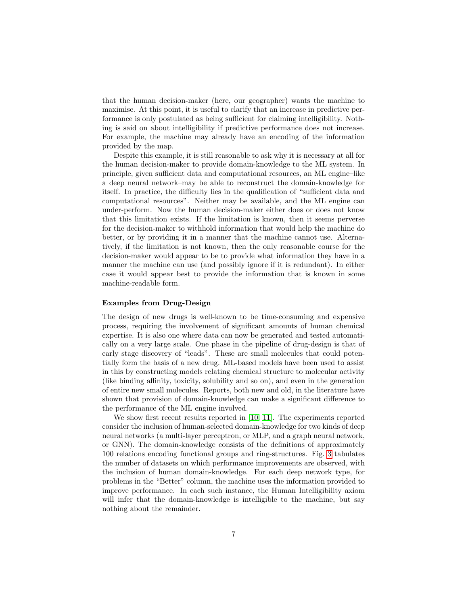that the human decision-maker (here, our geographer) wants the machine to maximise. At this point, it is useful to clarify that an increase in predictive performance is only postulated as being sufficient for claiming intelligibility. Nothing is said on about intelligibility if predictive performance does not increase. For example, the machine may already have an encoding of the information provided by the map.

Despite this example, it is still reasonable to ask why it is necessary at all for the human decision-maker to provide domain-knowledge to the ML system. In principle, given sufficient data and computational resources, an ML engine–like a deep neural network–may be able to reconstruct the domain-knowledge for itself. In practice, the difficulty lies in the qualification of "sufficient data and computational resources". Neither may be available, and the ML engine can under-perform. Now the human decision-maker either does or does not know that this limitation exists. If the limitation is known, then it seems perverse for the decision-maker to withhold information that would help the machine do better, or by providing it in a manner that the machine cannot use. Alternatively, if the limitation is not known, then the only reasonable course for the decision-maker would appear to be to provide what information they have in a manner the machine can use (and possibly ignore if it is redundant). In either case it would appear best to provide the information that is known in some machine-readable form.

#### Examples from Drug-Design

The design of new drugs is well-known to be time-consuming and expensive process, requiring the involvement of significant amounts of human chemical expertise. It is also one where data can now be generated and tested automatically on a very large scale. One phase in the pipeline of drug-design is that of early stage discovery of "leads". These are small molecules that could potentially form the basis of a new drug. ML-based models have been used to assist in this by constructing models relating chemical structure to molecular activity (like binding affinity, toxicity, solubility and so on), and even in the generation of entire new small molecules. Reports, both new and old, in the literature have shown that provision of domain-knowledge can make a significant difference to the performance of the ML engine involved.

We show first recent results reported in [\[10,](#page-19-4) [11\]](#page-19-5). The experiments reported consider the inclusion of human-selected domain-knowledge for two kinds of deep neural networks (a multi-layer perceptron, or MLP, and a graph neural network, or GNN). The domain-knowledge consists of the definitions of approximately 100 relations encoding functional groups and ring-structures. Fig. [3](#page-7-0) tabulates the number of datasets on which performance improvements are observed, with the inclusion of human domain-knowledge. For each deep network type, for problems in the "Better" column, the machine uses the information provided to improve performance. In each such instance, the Human Intelligibility axiom will infer that the domain-knowledge is intelligible to the machine, but say nothing about the remainder.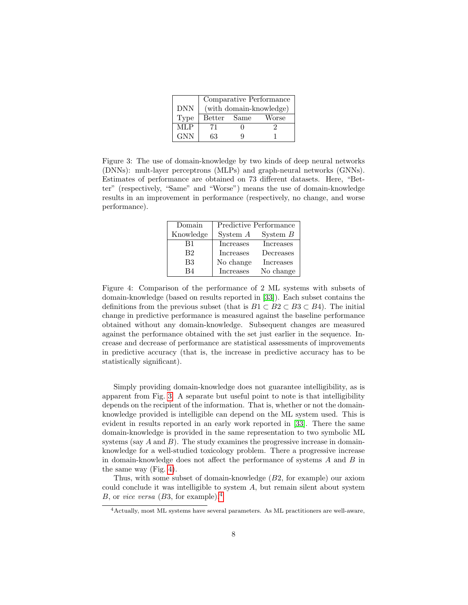|            | Comparative Performance |  |       |  |  |
|------------|-------------------------|--|-------|--|--|
| <b>DNN</b> | (with domain-knowledge) |  |       |  |  |
| Type       | Better Same             |  | Worse |  |  |
| MLP        | 71                      |  |       |  |  |
| <b>GNN</b> | 63                      |  |       |  |  |

<span id="page-7-1"></span><span id="page-7-0"></span>Figure 3: The use of domain-knowledge by two kinds of deep neural networks (DNNs): mult-layer perceptrons (MLPs) and graph-neural networks (GNNs). Estimates of performance are obtained on 73 different datasets. Here, "Better" (respectively, "Same" and "Worse") means the use of domain-knowledge results in an improvement in performance (respectively, no change, and worse performance).

| Domain         | Predictive Performance |            |  |
|----------------|------------------------|------------|--|
| Knowledge      | System $A$             | System $B$ |  |
| B1             | Increases              | Increases  |  |
| B2             | Increases              | Decreases  |  |
| B <sub>3</sub> | No change              | Increases  |  |
| R4             | Increases              | No change  |  |

Figure 4: Comparison of the performance of 2 ML systems with subsets of domain-knowledge (based on results reported in [\[33\]](#page-21-3)). Each subset contains the definitions from the previous subset (that is  $B1 \subset B2 \subset B3 \subset B4$ ). The initial change in predictive performance is measured against the baseline performance obtained without any domain-knowledge. Subsequent changes are measured against the performance obtained with the set just earlier in the sequence. Increase and decrease of performance are statistical assessments of improvements in predictive accuracy (that is, the increase in predictive accuracy has to be statistically significant).

Simply providing domain-knowledge does not guarantee intelligibility, as is apparent from Fig. [3.](#page-7-0) A separate but useful point to note is that intelligibility depends on the recipient of the information. That is, whether or not the domainknowledge provided is intelligible can depend on the ML system used. This is evident in results reported in an early work reported in [\[33\]](#page-21-3). There the same domain-knowledge is provided in the same representation to two symbolic ML systems (say  $A$  and  $B$ ). The study examines the progressive increase in domainknowledge for a well-studied toxicology problem. There a progressive increase in domain-knowledge does not affect the performance of systems A and B in the same way (Fig. [4\)](#page-7-1).

Thus, with some subset of domain-knowledge (B2, for example) our axiom could conclude it was intelligible to system A, but remain silent about system B, or *vice versa* (B3, for example).<sup>[4](#page-7-2)</sup>

<span id="page-7-2"></span><sup>4</sup>Actually, most ML systems have several parameters. As ML practitioners are well-aware,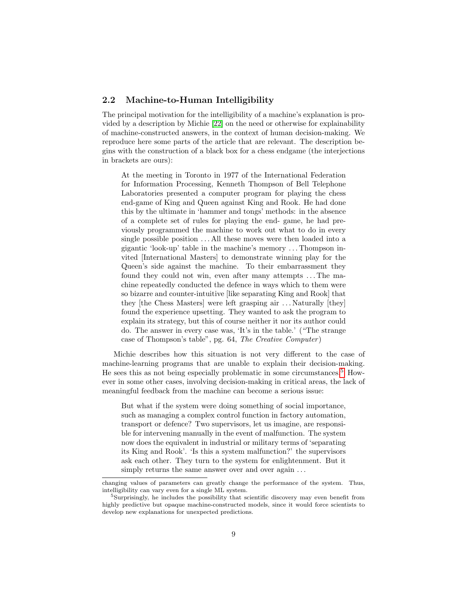### <span id="page-8-0"></span>2.2 Machine-to-Human Intelligibility

The principal motivation for the intelligibility of a machine's explanation is provided by a description by Michie [\[22\]](#page-20-8) on the need or otherwise for explainability of machine-constructed answers, in the context of human decision-making. We reproduce here some parts of the article that are relevant. The description begins with the construction of a black box for a chess endgame (the interjections in brackets are ours):

At the meeting in Toronto in 1977 of the International Federation for Information Processing, Kenneth Thompson of Bell Telephone Laboratories presented a computer program for playing the chess end-game of King and Queen against King and Rook. He had done this by the ultimate in 'hammer and tongs' methods: in the absence of a complete set of rules for playing the end- game, he had previously programmed the machine to work out what to do in every single possible position . . . All these moves were then loaded into a gigantic 'look-up' table in the machine's memory . . . Thompson invited [International Masters] to demonstrate winning play for the Queen's side against the machine. To their embarrassment they found they could not win, even after many attempts ... The machine repeatedly conducted the defence in ways which to them were so bizarre and counter-intuitive [like separating King and Rook] that they [the Chess Masters] were left grasping air . . . Naturally [they] found the experience upsetting. They wanted to ask the program to explain its strategy, but this of course neither it nor its author could do. The answer in every case was, 'It's in the table.' ("The strange case of Thompson's table", pg. 64, The Creative Computer )

Michie describes how this situation is not very different to the case of machine-learning programs that are unable to explain their decision-making. He sees this as not being especially problematic in some circumstances.[5](#page-8-1) However in some other cases, involving decision-making in critical areas, the lack of meaningful feedback from the machine can become a serious issue:

But what if the system were doing something of social importance, such as managing a complex control function in factory automation, transport or defence? Two supervisors, let us imagine, are responsible for intervening manually in the event of malfunction. The system now does the equivalent in industrial or military terms of 'separating its King and Rook'. 'Is this a system malfunction?' the supervisors ask each other. They turn to the system for enlightenment. But it simply returns the same answer over and over again ...

changing values of parameters can greatly change the performance of the system. Thus, intelligibility can vary even for a single ML system.

<span id="page-8-1"></span><sup>&</sup>lt;sup>5</sup>Surprisingly, he includes the possibility that scientific discovery may even benefit from highly predictive but opaque machine-constructed models, since it would force scientists to develop new explanations for unexpected predictions.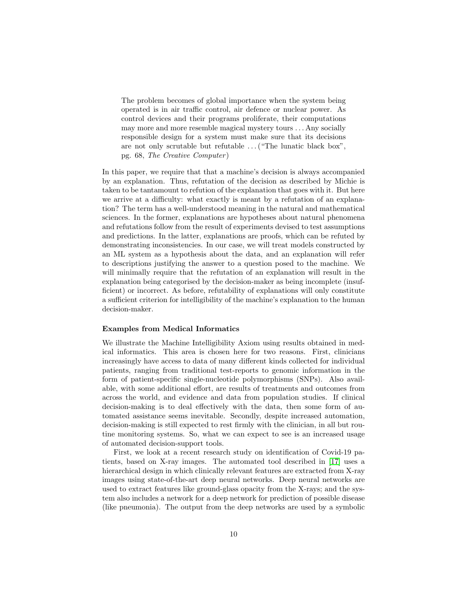The problem becomes of global importance when the system being operated is in air traffic control, air defence or nuclear power. As control devices and their programs proliferate, their computations may more and more resemble magical mystery tours . . . Any socially responsible design for a system must make sure that its decisions are not only scrutable but refutable  $\dots$  ("The lunatic black box", pg. 68, The Creative Computer )

In this paper, we require that that a machine's decision is always accompanied by an explanation. Thus, refutation of the decision as described by Michie is taken to be tantamount to refution of the explanation that goes with it. But here we arrive at a difficulty: what exactly is meant by a refutation of an explanation? The term has a well-understood meaning in the natural and mathematical sciences. In the former, explanations are hypotheses about natural phenomena and refutations follow from the result of experiments devised to test assumptions and predictions. In the latter, explanations are proofs, which can be refuted by demonstrating inconsistencies. In our case, we will treat models constructed by an ML system as a hypothesis about the data, and an explanation will refer to descriptions justifying the answer to a question posed to the machine. We will minimally require that the refutation of an explanation will result in the explanation being categorised by the decision-maker as being incomplete (insufficient) or incorrect. As before, refutability of explanations will only constitute a sufficient criterion for intelligibility of the machine's explanation to the human decision-maker.

#### Examples from Medical Informatics

We illustrate the Machine Intelligibility Axiom using results obtained in medical informatics. This area is chosen here for two reasons. First, clinicians increasingly have access to data of many different kinds collected for individual patients, ranging from traditional test-reports to genomic information in the form of patient-specific single-nucleotide polymorphisms (SNPs). Also available, with some additional effort, are results of treatments and outcomes from across the world, and evidence and data from population studies. If clinical decision-making is to deal effectively with the data, then some form of automated assistance seems inevitable. Secondly, despite increased automation, decision-making is still expected to rest firmly with the clinician, in all but routine monitoring systems. So, what we can expect to see is an increased usage of automated decision-support tools.

First, we look at a recent research study on identification of Covid-19 patients, based on X-ray images. The automated tool described in [\[17\]](#page-20-9) uses a hierarchical design in which clinically relevant features are extracted from X-ray images using state-of-the-art deep neural networks. Deep neural networks are used to extract features like ground-glass opacity from the X-rays; and the system also includes a network for a deep network for prediction of possible disease (like pneumonia). The output from the deep networks are used by a symbolic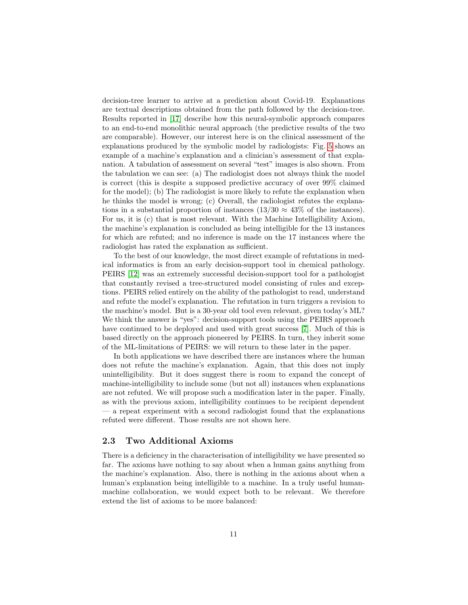decision-tree learner to arrive at a prediction about Covid-19. Explanations are textual descriptions obtained from the path followed by the decision-tree. Results reported in [\[17\]](#page-20-9) describe how this neural-symbolic approach compares to an end-to-end monolithic neural approach (the predictive results of the two are comparable). However, our interest here is on the clinical assessment of the explanations produced by the symbolic model by radiologists: Fig. [5](#page-11-0) shows an example of a machine's explanation and a clinician's assessment of that explanation. A tabulation of assessment on several "test" images is also shown. From the tabulation we can see: (a) The radiologist does not always think the model is correct (this is despite a supposed predictive accuracy of over 99% claimed for the model); (b) The radiologist is more likely to refute the explanation when he thinks the model is wrong; (c) Overall, the radiologist refutes the explanations in a substantial proportion of instances (13/30  $\approx$  43% of the instances). For us, it is (c) that is most relevant. With the Machine Intelligibility Axiom, the machine's explanation is concluded as being intelligible for the 13 instances for which are refuted; and no inference is made on the 17 instances where the radiologist has rated the explanation as sufficient.

To the best of our knowledge, the most direct example of refutations in medical informatics is from an early decision-support tool in chemical pathology. PEIRS [\[12\]](#page-19-6) was an extremely successful decision-support tool for a pathologist that constantly revised a tree-structured model consisting of rules and exceptions. PEIRS relied entirely on the ability of the pathologist to read, understand and refute the model's explanation. The refutation in turn triggers a revision to the machine's model. But is a 30-year old tool even relevant, given today's ML? We think the answer is "yes": decision-support tools using the PEIRS approach have continued to be deployed and used with great success [\[7\]](#page-19-7). Much of this is based directly on the approach pioneered by PEIRS. In turn, they inherit some of the ML-limitations of PEIRS: we will return to these later in the paper.

In both applications we have described there are instances where the human does not refute the machine's explanation. Again, that this does not imply unintelligibility. But it does suggest there is room to expand the concept of machine-intelligibility to include some (but not all) instances when explanations are not refuted. We will propose such a modification later in the paper. Finally, as with the previous axiom, intelligibility continues to be recipient dependent — a repeat experiment with a second radiologist found that the explanations refuted were different. Those results are not shown here.

### 2.3 Two Additional Axioms

There is a deficiency in the characterisation of intelligibility we have presented so far. The axioms have nothing to say about when a human gains anything from the machine's explanation. Also, there is nothing in the axioms about when a human's explanation being intelligible to a machine. In a truly useful humanmachine collaboration, we would expect both to be relevant. We therefore extend the list of axioms to be more balanced: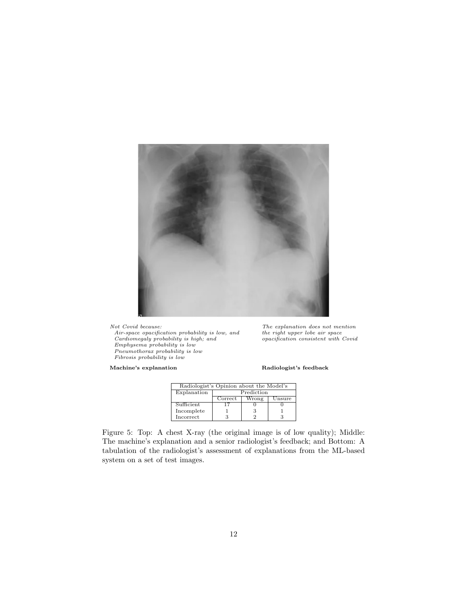<span id="page-11-0"></span>

Not Covid because: The explanation does not mention Cardiomegaly probability is high; and opacification consistent with Covid<br>Emphysema probability is low

Pneumothorax probability is low Fibrosis probability is low

Air-space opacification probability is low, and the right upper lobe air space<br>Cardiomegaly probability is high; and opacification consistent with Covid

Machine's explanation Radiologist's feedback

| Radiologist's Opinion about the Model's |            |       |        |  |  |
|-----------------------------------------|------------|-------|--------|--|--|
| Explanation                             | Prediction |       |        |  |  |
|                                         | Correct    | Wrong | Jnsure |  |  |
| Sufficient                              |            |       |        |  |  |
| Incomplete                              |            |       |        |  |  |
| $_{\rm{Incorrect}}$                     |            |       |        |  |  |

Figure 5: Top: A chest X-ray (the original image is of low quality); Middle: The machine's explanation and a senior radiologist's feedback; and Bottom: A tabulation of the radiologist's assessment of explanations from the ML-based system on a set of test images.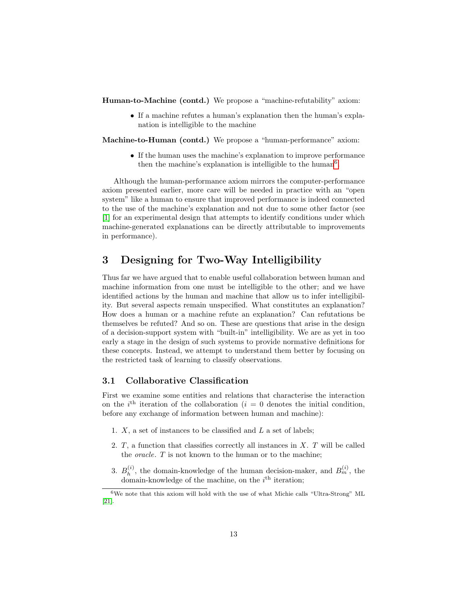Human-to-Machine (contd.) We propose a "machine-refutability" axiom:

• If a machine refutes a human's explanation then the human's explanation is intelligible to the machine

Machine-to-Human (contd.) We propose a "human-performance" axiom:

• If the human uses the machine's explanation to improve performance then the machine's explanation is intelligible to the human<sup>[6](#page-12-1)</sup>.

Although the human-performance axiom mirrors the computer-performance axiom presented earlier, more care will be needed in practice with an "open system" like a human to ensure that improved performance is indeed connected to the use of the machine's explanation and not due to some other factor (see [\[1\]](#page-18-0) for an experimental design that attempts to identify conditions under which machine-generated explanations can be directly attributable to improvements in performance).

## <span id="page-12-0"></span>3 Designing for Two-Way Intelligibility

Thus far we have argued that to enable useful collaboration between human and machine information from one must be intelligible to the other; and we have identified actions by the human and machine that allow us to infer intelligibility. But several aspects remain unspecified. What constitutes an explanation? How does a human or a machine refute an explanation? Can refutations be themselves be refuted? And so on. These are questions that arise in the design of a decision-support system with "built-in" intelligibility. We are as yet in too early a stage in the design of such systems to provide normative definitions for these concepts. Instead, we attempt to understand them better by focusing on the restricted task of learning to classify observations.

## 3.1 Collaborative Classification

First we examine some entities and relations that characterise the interaction on the i<sup>th</sup> iteration of the collaboration (i = 0 denotes the initial condition, before any exchange of information between human and machine):

- 1.  $X$ , a set of instances to be classified and  $L$  a set of labels;
- 2.  $T$ , a function that classifies correctly all instances in  $X$ .  $T$  will be called the oracle. T is not known to the human or to the machine;
- 3.  $B_h^{(i)}$  $h_h^{(i)}$ , the domain-knowledge of the human decision-maker, and  $B_m^{(i)}$ , the domain-knowledge of the machine, on the  $i<sup>th</sup>$  iteration;

<span id="page-12-1"></span> ${}^6\mathrm{We}$  note that this axiom will hold with the use of what Michie calls "Ultra-Strong" ML [\[21\]](#page-20-7).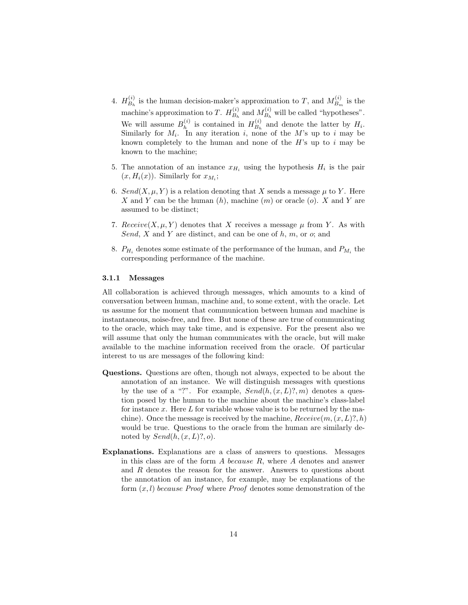- 4.  $H_{B_1}^{(i)}$  $\mathcal{L}_{B_h}^{(i)}$  is the human decision-maker's approximation to T, and  $M_{B_n}^{(i)}$  $B_m^{(i)}$  is the machine's approximation to T.  $H_{B_1}^{(i)}$  $B_h^{(i)}$  and  $M_{B_h}^{(i)}$  $B_h^{(i)}$  will be called "hypotheses". We will assume  $B_h^{(i)}$  $h_h^{(i)}$  is contained in  $H_{B_h}^{(i)}$  $B_h^{(i)}$  and denote the latter by  $H_i$ . Similarly for  $M_i$ . In any iteration i, none of the M's up to i may be known completely to the human and none of the  $H$ 's up to  $i$  may be known to the machine;
- 5. The annotation of an instance  $x_{H_i}$  using the hypothesis  $H_i$  is the pair  $(x, H_i(x))$ . Similarly for  $x_{M_i}$ ;
- 6. Send(X,  $\mu$ , Y) is a relation denoting that X sends a message  $\mu$  to Y. Here X and Y can be the human  $(h)$ , machine  $(m)$  or oracle  $(o)$ . X and Y are assumed to be distinct;
- 7. Receive $(X, \mu, Y)$  denotes that X receives a message  $\mu$  from Y. As with Send, X and Y are distinct, and can be one of  $h, m$ , or  $o$ ; and
- 8.  $P_{H_i}$  denotes some estimate of the performance of the human, and  $P_{M_i}$  the corresponding performance of the machine.

#### 3.1.1 Messages

All collaboration is achieved through messages, which amounts to a kind of conversation between human, machine and, to some extent, with the oracle. Let us assume for the moment that communication between human and machine is instantaneous, noise-free, and free. But none of these are true of communicating to the oracle, which may take time, and is expensive. For the present also we will assume that only the human communicates with the oracle, but will make available to the machine information received from the oracle. Of particular interest to us are messages of the following kind:

- Questions. Questions are often, though not always, expected to be about the annotation of an instance. We will distinguish messages with questions by the use of a "?". For example,  $Send(h,(x,L)?,m)$  denotes a question posed by the human to the machine about the machine's class-label for instance x. Here  $L$  for variable whose value is to be returned by the machine). Once the message is received by the machine,  $Receive(m,(x, L)?, h)$ would be true. Questions to the oracle from the human are similarly denoted by  $Send(h,(x,L)?, o).$
- Explanations. Explanations are a class of answers to questions. Messages in this class are of the form  $A$  because  $R$ , where  $A$  denotes and answer and R denotes the reason for the answer. Answers to questions about the annotation of an instance, for example, may be explanations of the form  $(x, l)$  because Proof where Proof denotes some demonstration of the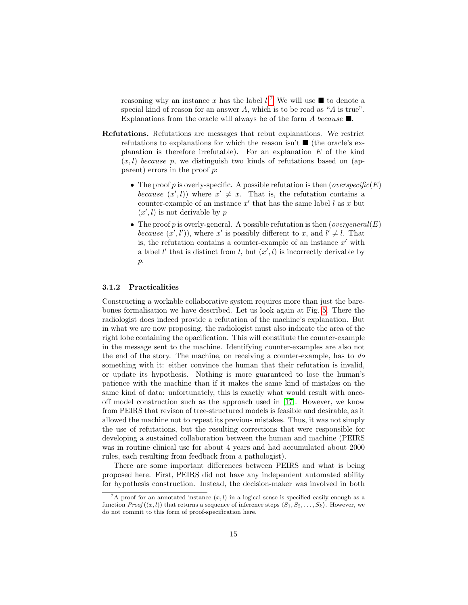reasoning why an instance x has the label  $l^7$  $l^7$ . We will use  $\blacksquare$  to denote a special kind of reason for an answer  $A$ , which is to be read as " $A$  is true". Explanations from the oracle will always be of the form A because  $\blacksquare$ .

- Refutations. Refutations are messages that rebut explanations. We restrict refutations to explanations for which the reason isn't  $\blacksquare$  (the oracle's explanation is therefore irrefutable). For an explanation  $E$  of the kind  $(x, l)$  because p, we distinguish two kinds of refutations based on (apparent) errors in the proof p:
	- The proof p is overly-specific. A possible refutation is then (*overspecific*( $E$ ) because  $(x', l)$  where  $x' \neq x$ . That is, the refutation contains a counter-example of an instance  $x'$  that has the same label l as x but  $(x', l)$  is not derivable by p
	- The proof p is overly-general. A possible refutation is then (*overgeneral*( $E$ ) because  $(x', l')$ , where x' is possibly different to x, and  $l' \neq l$ . That is, the refutation contains a counter-example of an instance  $x'$  with a label  $l'$  that is distinct from  $l$ , but  $(x', l)$  is incorrectly derivable by p.

#### 3.1.2 Practicalities

Constructing a workable collaborative system requires more than just the barebones formalisation we have described. Let us look again at Fig. [5.](#page-11-0) There the radiologist does indeed provide a refutation of the machine's explanation. But in what we are now proposing, the radiologist must also indicate the area of the right lobe containing the opacification. This will constitute the counter-example in the message sent to the machine. Identifying counter-examples are also not the end of the story. The machine, on receiving a counter-example, has to do something with it: either convince the human that their refutation is invalid, or update its hypothesis. Nothing is more guaranteed to lose the human's patience with the machine than if it makes the same kind of mistakes on the same kind of data: unfortunately, this is exactly what would result with onceoff model construction such as the approach used in [\[17\]](#page-20-9). However, we know from PEIRS that revison of tree-structured models is feasible and desirable, as it allowed the machine not to repeat its previous mistakes. Thus, it was not simply the use of refutations, but the resulting corrections that were responsible for developing a sustained collaboration between the human and machine (PEIRS was in routine clinical use for about 4 years and had accumulated about 2000 rules, each resulting from feedback from a pathologist).

There are some important differences between PEIRS and what is being proposed here. First, PEIRS did not have any independent automated ability for hypothesis construction. Instead, the decision-maker was involved in both

<span id="page-14-0"></span><sup>&</sup>lt;sup>7</sup>A proof for an annotated instance  $(x, l)$  in a logical sense is specified easily enough as a function  $Proof((x, l))$  that returns a sequence of inference steps  $\langle S_1, S_2, \ldots, S_k \rangle$ . However, we do not commit to this form of proof-specification here.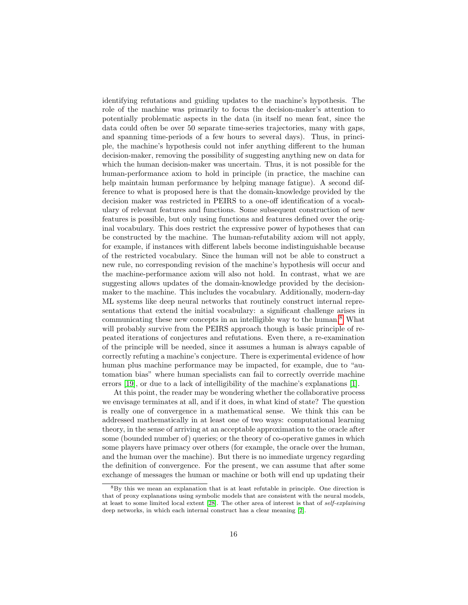identifying refutations and guiding updates to the machine's hypothesis. The role of the machine was primarily to focus the decision-maker's attention to potentially problematic aspects in the data (in itself no mean feat, since the data could often be over 50 separate time-series trajectories, many with gaps, and spanning time-periods of a few hours to several days). Thus, in principle, the machine's hypothesis could not infer anything different to the human decision-maker, removing the possibility of suggesting anything new on data for which the human decision-maker was uncertain. Thus, it is not possible for the human-performance axiom to hold in principle (in practice, the machine can help maintain human performance by helping manage fatigue). A second difference to what is proposed here is that the domain-knowledge provided by the decision maker was restricted in PEIRS to a one-off identification of a vocabulary of relevant features and functions. Some subsequent construction of new features is possible, but only using functions and features defined over the original vocabulary. This does restrict the expressive power of hypotheses that can be constructed by the machine. The human-refutability axiom will not apply, for example, if instances with different labels become indistinguishable because of the restricted vocabulary. Since the human will not be able to construct a new rule, no corresponding revision of the machine's hypothesis will occur and the machine-performance axiom will also not hold. In contrast, what we are suggesting allows updates of the domain-knowledge provided by the decisionmaker to the machine. This includes the vocabulary. Additionally, modern-day ML systems like deep neural networks that routinely construct internal representations that extend the initial vocabulary: a significant challenge arises in communicating these new concepts in an intelligible way to the human.<sup>[8](#page-15-0)</sup> What will probably survive from the PEIRS approach though is basic principle of repeated iterations of conjectures and refutations. Even there, a re-examination of the principle will be needed, since it assumes a human is always capable of correctly refuting a machine's conjecture. There is experimental evidence of how human plus machine performance may be impacted, for example, due to "automation bias" where human specialists can fail to correctly override machine errors [\[19\]](#page-20-10), or due to a lack of intelligibility of the machine's explanations [\[1\]](#page-18-0).

At this point, the reader may be wondering whether the collaborative process we envisage terminates at all, and if it does, in what kind of state? The question is really one of convergence in a mathematical sense. We think this can be addressed mathematically in at least one of two ways: computational learning theory, in the sense of arriving at an acceptable approximation to the oracle after some (bounded number of) queries; or the theory of co-operative games in which some players have primacy over others (for example, the oracle over the human, and the human over the machine). But there is no immediate urgency regarding the definition of convergence. For the present, we can assume that after some exchange of messages the human or machine or both will end up updating their

<span id="page-15-0"></span><sup>8</sup>By this we mean an explanation that is at least refutable in principle. One direction is that of proxy explanations using symbolic models that are consistent with the neural models, at least to some limited local extent [\[28\]](#page-21-4). The other area of interest is that of self-explaining deep networks, in which each internal construct has a clear meaning [\[2\]](#page-19-8).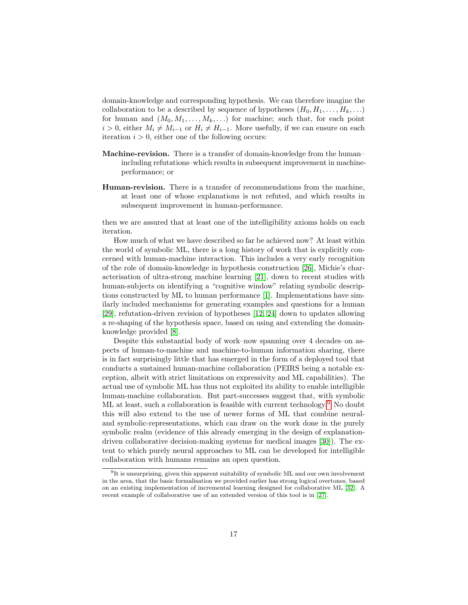domain-knowledge and corresponding hypothesis. We can therefore imagine the collaboration to be a described by sequence of hypotheses  $(H_0, H_1, \ldots, H_k, \ldots)$ for human and  $(M_0, M_1, \ldots, M_k, \ldots)$  for machine; such that, for each point  $i > 0$ , either  $M_i \neq M_{i-1}$  or  $H_i \neq H_{i-1}$ . More usefully, if we can ensure on each iteration  $i > 0$ , either one of the following occurs:

- Machine-revision. There is a transfer of domain-knowledge from the human– including refutations–which results in subsequent improvement in machineperformance; or
- Human-revision. There is a transfer of recommendations from the machine, at least one of whose explanations is not refuted, and which results in subsequent improvement in human-performance.

then we are assured that at least one of the intelligibility axioms holds on each iteration.

How much of what we have described so far be achieved now? At least within the world of symbolic ML, there is a long history of work that is explicitly concerned with human-machine interaction. This includes a very early recognition of the role of domain-knowledge in hypothesis construction [\[26\]](#page-21-5), Michie's characterisation of ultra-strong machine learning [\[21\]](#page-20-7), down to recent studies with human-subjects on identifying a "cognitive window" relating symbolic descriptions constructed by ML to human performance [\[1\]](#page-18-0). Implementations have similarly included mechanisms for generating examples and questions for a human [\[29\]](#page-21-6), refutation-driven revision of hypotheses [\[12,](#page-19-6) [24\]](#page-20-11) down to updates allowing a re-shaping of the hypothesis space, based on using and extending the domainknowledge provided [\[8\]](#page-19-9).

Despite this substantial body of work–now spanning over 4 decades–on aspects of human-to-machine and machine-to-human information sharing, there is in fact surprisingly little that has emerged in the form of a deployed tool that conducts a sustained human-machine collaboration (PEIRS being a notable exception, albeit with strict limitations on expressivity and ML capabilities). The actual use of symbolic ML has thus not exploited its ability to enable intelligible human-machine collaboration. But part-successes suggest that, with symbolic ML at least, such a collaboration is feasible with current technology.<sup>[9](#page-16-0)</sup> No doubt this will also extend to the use of newer forms of ML that combine neuraland symbolic-representations, which can draw on the work done in the purely symbolic realm (evidence of this already emerging in the design of explanationdriven collaborative decision-making systems for medical images [\[30\]](#page-21-7)). The extent to which purely neural approaches to ML can be developed for intelligible collaboration with humans remains an open question.

<span id="page-16-0"></span><sup>9</sup> It is unsurprising, given this apparent suitability of symbolic ML and our own involvement in the area, that the basic formalisation we provided earlier has strong logical overtones, based on an existing implementation of incremental learning designed for collaborative ML [\[32\]](#page-21-8). A recent example of collaborative use of an extended version of this tool is in [\[27\]](#page-21-9).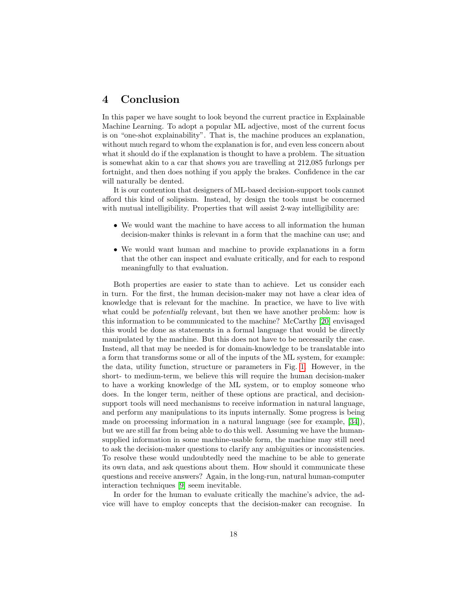## <span id="page-17-0"></span>4 Conclusion

In this paper we have sought to look beyond the current practice in Explainable Machine Learning. To adopt a popular ML adjective, most of the current focus is on "one-shot explainability". That is, the machine produces an explanation, without much regard to whom the explanation is for, and even less concern about what it should do if the explanation is thought to have a problem. The situation is somewhat akin to a car that shows you are travelling at 212,085 furlongs per fortnight, and then does nothing if you apply the brakes. Confidence in the car will naturally be dented.

It is our contention that designers of ML-based decision-support tools cannot afford this kind of solipsism. Instead, by design the tools must be concerned with mutual intelligibility. Properties that will assist 2-way intelligibility are:

- We would want the machine to have access to all information the human decision-maker thinks is relevant in a form that the machine can use; and
- We would want human and machine to provide explanations in a form that the other can inspect and evaluate critically, and for each to respond meaningfully to that evaluation.

Both properties are easier to state than to achieve. Let us consider each in turn. For the first, the human decision-maker may not have a clear idea of knowledge that is relevant for the machine. In practice, we have to live with what could be *potentially* relevant, but then we have another problem: how is this information to be communicated to the machine? McCarthy [\[20\]](#page-20-12) envisaged this would be done as statements in a formal language that would be directly manipulated by the machine. But this does not have to be necessarily the case. Instead, all that may be needed is for domain-knowledge to be translatable into a form that transforms some or all of the inputs of the ML system, for example: the data, utility function, structure or parameters in Fig. [1.](#page-4-0) However, in the short- to medium-term, we believe this will require the human decision-maker to have a working knowledge of the ML system, or to employ someone who does. In the longer term, neither of these options are practical, and decisionsupport tools will need mechanisms to receive information in natural language, and perform any manipulations to its inputs internally. Some progress is being made on processing information in a natural language (see for example, [\[34\]](#page-21-10)), but we are still far from being able to do this well. Assuming we have the humansupplied information in some machine-usable form, the machine may still need to ask the decision-maker questions to clarify any ambiguities or inconsistencies. To resolve these would undoubtedly need the machine to be able to generate its own data, and ask questions about them. How should it communicate these questions and receive answers? Again, in the long-run, natural human-computer interaction techniques [\[9\]](#page-19-10) seem inevitable.

In order for the human to evaluate critically the machine's advice, the advice will have to employ concepts that the decision-maker can recognise. In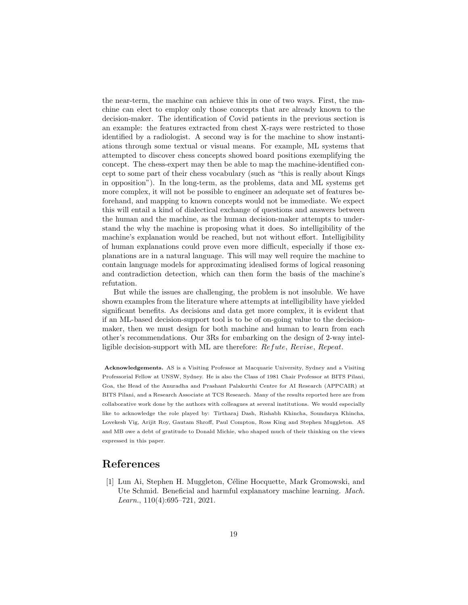the near-term, the machine can achieve this in one of two ways. First, the machine can elect to employ only those concepts that are already known to the decision-maker. The identification of Covid patients in the previous section is an example: the features extracted from chest X-rays were restricted to those identified by a radiologist. A second way is for the machine to show instantiations through some textual or visual means. For example, ML systems that attempted to discover chess concepts showed board positions exemplifying the concept. The chess-expert may then be able to map the machine-identified concept to some part of their chess vocabulary (such as "this is really about Kings in opposition"). In the long-term, as the problems, data and ML systems get more complex, it will not be possible to engineer an adequate set of features beforehand, and mapping to known concepts would not be immediate. We expect this will entail a kind of dialectical exchange of questions and answers between the human and the machine, as the human decision-maker attempts to understand the why the machine is proposing what it does. So intelligibility of the machine's explanation would be reached, but not without effort. Intelligibility of human explanations could prove even more difficult, especially if those explanations are in a natural language. This will may well require the machine to contain language models for approximating idealised forms of logical reasoning and contradiction detection, which can then form the basis of the machine's refutation.

But while the issues are challenging, the problem is not insoluble. We have shown examples from the literature where attempts at intelligibility have yielded significant benefits. As decisions and data get more complex, it is evident that if an ML-based decision-support tool is to be of on-going value to the decisionmaker, then we must design for both machine and human to learn from each other's recommendations. Our 3Rs for embarking on the design of 2-way intelligible decision-support with ML are therefore: Refute, Revise, Repeat.

Acknowledgements. AS is a Visiting Professor at Macquarie University, Sydney and a Visiting Professorial Fellow at UNSW, Sydney. He is also the Class of 1981 Chair Professor at BITS Pilani, Goa, the Head of the Anuradha and Prashant Palakurthi Centre for AI Research (APPCAIR) at BITS Pilani, and a Research Associate at TCS Research. Many of the results reported here are from collaborative work done by the authors with colleagues at several institutions. We would especially like to acknowledge the role played by: Tirtharaj Dash, Rishabh Khincha, Soundarya Khincha, Lovekesh Vig, Arijit Roy, Gautam Shroff, Paul Compton, Ross King and Stephen Muggleton. AS and MB owe a debt of gratitude to Donald Michie, who shaped much of their thinking on the views expressed in this paper.

## References

<span id="page-18-0"></span>[1] Lun Ai, Stephen H. Muggleton, C´eline Hocquette, Mark Gromowski, and Ute Schmid. Beneficial and harmful explanatory machine learning. Mach. Learn., 110(4):695–721, 2021.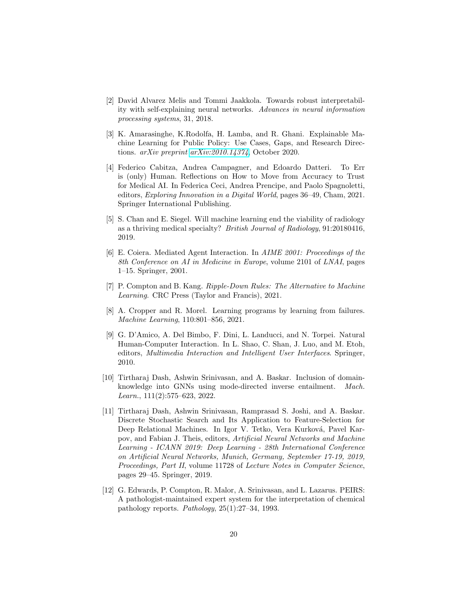- <span id="page-19-8"></span>[2] David Alvarez Melis and Tommi Jaakkola. Towards robust interpretability with self-explaining neural networks. Advances in neural information processing systems, 31, 2018.
- <span id="page-19-0"></span>[3] K. Amarasinghe, K.Rodolfa, H. Lamba, and R. Ghani. Explainable Machine Learning for Public Policy: Use Cases, Gaps, and Research Directions. arXiv preprint [arXiv:2010.14374](http://arxiv.org/abs/2010.14374), October 2020.
- <span id="page-19-3"></span>[4] Federico Cabitza, Andrea Campagner, and Edoardo Datteri. To Err is (only) Human. Reflections on How to Move from Accuracy to Trust for Medical AI. In Federica Ceci, Andrea Prencipe, and Paolo Spagnoletti, editors, Exploring Innovation in a Digital World, pages 36–49, Cham, 2021. Springer International Publishing.
- <span id="page-19-2"></span>[5] S. Chan and E. Siegel. Will machine learning end the viability of radiology as a thriving medical specialty? British Journal of Radiology, 91:20180416, 2019.
- <span id="page-19-1"></span>[6] E. Coiera. Mediated Agent Interaction. In AIME 2001: Proceedings of the 8th Conference on AI in Medicine in Europe, volume 2101 of LNAI, pages 1–15. Springer, 2001.
- <span id="page-19-7"></span>[7] P. Compton and B. Kang. Ripple-Down Rules: The Alternative to Machine Learning. CRC Press (Taylor and Francis), 2021.
- <span id="page-19-9"></span>[8] A. Cropper and R. Morel. Learning programs by learning from failures. Machine Learning, 110:801–856, 2021.
- <span id="page-19-10"></span>[9] G. D'Amico, A. Del Bimbo, F. Dini, L. Landucci, and N. Torpei. Natural Human-Computer Interaction. In L. Shao, C. Shan, J. Luo, and M. Etoh, editors, Multimedia Interaction and Intelligent User Interfaces. Springer, 2010.
- <span id="page-19-4"></span>[10] Tirtharaj Dash, Ashwin Srinivasan, and A. Baskar. Inclusion of domainknowledge into GNNs using mode-directed inverse entailment. Mach. Learn., 111(2):575–623, 2022.
- <span id="page-19-5"></span>[11] Tirtharaj Dash, Ashwin Srinivasan, Ramprasad S. Joshi, and A. Baskar. Discrete Stochastic Search and Its Application to Feature-Selection for Deep Relational Machines. In Igor V. Tetko, Vera Kurková, Pavel Karpov, and Fabian J. Theis, editors, Artificial Neural Networks and Machine Learning - ICANN 2019: Deep Learning - 28th International Conference on Artificial Neural Networks, Munich, Germany, September 17-19, 2019, Proceedings, Part II, volume 11728 of Lecture Notes in Computer Science, pages 29–45. Springer, 2019.
- <span id="page-19-6"></span>[12] G. Edwards, P. Compton, R. Malor, A. Srinivasan, and L. Lazarus. PEIRS: A pathologist-maintained expert system for the interpretation of chemical pathology reports. Pathology, 25(1):27–34, 1993.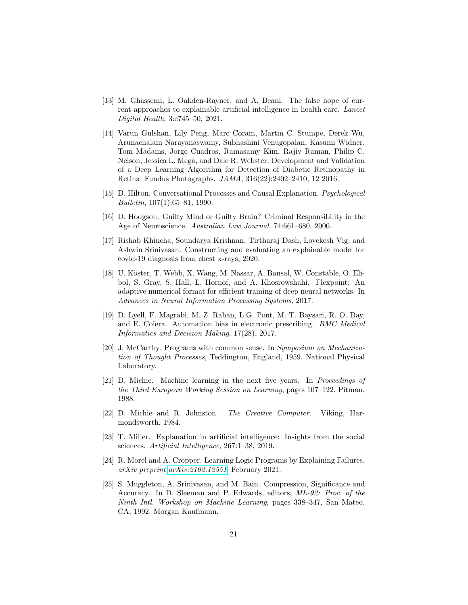- <span id="page-20-1"></span>[13] M. Ghassemi, L. Oakden-Rayner, and A. Beam. The false hope of current approaches to explainable artificial intelligence in health care. Lancet Digital Health, 3:e745–50, 2021.
- <span id="page-20-3"></span>[14] Varun Gulshan, Lily Peng, Marc Coram, Martin C. Stumpe, Derek Wu, Arunachalam Narayanaswamy, Subhashini Venugopalan, Kasumi Widner, Tom Madams, Jorge Cuadros, Ramasamy Kim, Rajiv Raman, Philip C. Nelson, Jessica L. Mega, and Dale R. Webster. Development and Validation of a Deep Learning Algorithm for Detection of Diabetic Retinopathy in Retinal Fundus Photographs. JAMA, 316(22):2402–2410, 12 2016.
- <span id="page-20-6"></span>[15] D. Hilton. Conversational Processes and Causal Explanation. Psychological Bulletin, 107(1):65–81, 1990.
- <span id="page-20-2"></span>[16] D. Hodgson. Guilty Mind or Guilty Brain? Criminal Responsibility in the Age of Neuroscience. Australian Law Journal, 74:661–680, 2000.
- <span id="page-20-9"></span>[17] Rishab Khincha, Soundarya Krishnan, Tirtharaj Dash, Lovekesh Vig, and Ashwin Srinivasan. Constructing and evaluating an explainable model for covid-19 diagnosis from chest x-rays, 2020.
- <span id="page-20-0"></span>[18] U. Köster, T. Webb, X. Wang, M. Nassar, A. Bansal, W. Constable, O. Elibol, S. Gray, S. Hall, L. Hornof, and A. Khosrowshahi. Flexpoint: An adaptive numerical format for efficient training of deep neural networks. In Advances in Neural Information Processing Systems, 2017.
- <span id="page-20-10"></span>[19] D. Lyell, F. Magrabi, M. Z. Raban, L.G. Pont, M. T. Baysari, R. O. Day, and E. Coiera. Automation bias in electronic prescribing. BMC Medical Informatics and Decision Making, 17(28), 2017.
- <span id="page-20-12"></span>[20] J. McCarthy. Programs with common sense. In Symposium on Mechanization of Thought Processes, Teddington, England, 1959. National Physical Laboratory.
- <span id="page-20-7"></span>[21] D. Michie. Machine learning in the next five years. In Proceedings of the Third European Working Session on Learning, pages 107–122. Pitman, 1988.
- <span id="page-20-8"></span>[22] D. Michie and R. Johnston. The Creative Computer. Viking, Harmondsworth, 1984.
- <span id="page-20-5"></span>[23] T. Miller. Explanation in artificial intelligence: Insights from the social sciences. Artificial Intelligence, 267:1–38, 2019.
- <span id="page-20-11"></span>[24] R. Morel and A. Cropper. Learning Logic Programs by Explaining Failures. arXiv preprint [arXiv:2102.12551](http://arxiv.org/abs/2102.12551), February 2021.
- <span id="page-20-4"></span>[25] S. Muggleton, A. Srinivasan, and M. Bain. Compression, Significance and Accuracy. In D. Sleeman and P. Edwards, editors, ML-92: Proc. of the Ninth Intl. Workshop on Machine Learning, pages 338–347, San Mateo, CA, 1992. Morgan Kaufmann.